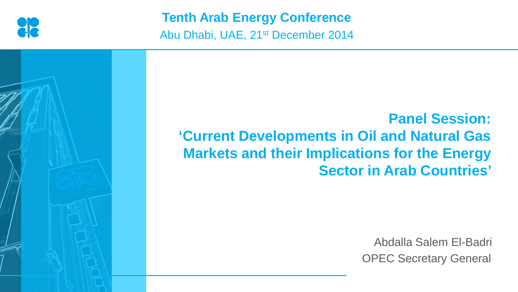

**Tenth Arab Energy Conference**

Abu Dhabi, UAE, 21st December 2014



**Panel Session: 'Current Developments in Oil and Natural Gas Markets and their Implications for the Energy Sector in Arab Countries'** 

> Abdalla Salem El-Badri OPEC Secretary General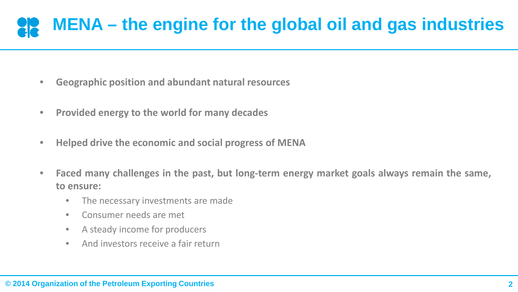## **MENA – the engine for the global oil and gas industries**

- **Geographic position and abundant natural resources**
- **Provided energy to the world for many decades**
- **Helped drive the economic and social progress of MENA**
- **Faced many challenges in the past, but long-term energy market goals always remain the same, to ensure:**
	- The necessary investments are made
	- Consumer needs are met
	- A steady income for producers
	- And investors receive a fair return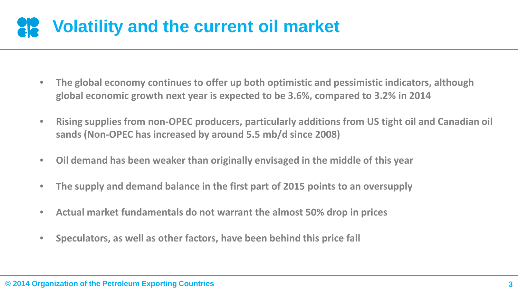## **Volatility and the current oil market**

- **The global economy continues to offer up both optimistic and pessimistic indicators, although global economic growth next year is expected to be 3.6%, compared to 3.2% in 2014**
- **Rising supplies from non-OPEC producers, particularly additions from US tight oil and Canadian oil sands (Non-OPEC has increased by around 5.5 mb/d since 2008)**
- **Oil demand has been weaker than originally envisaged in the middle of this year**
- **The supply and demand balance in the first part of 2015 points to an oversupply**
- **Actual market fundamentals do not warrant the almost 50% drop in prices**
- **Speculators, as well as other factors, have been behind this price fall**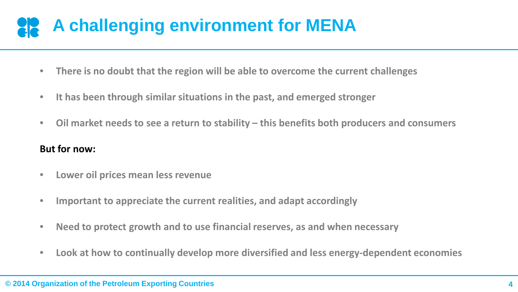## **A challenging environment for MENA**

- **There is no doubt that the region will be able to overcome the current challenges**
- **It has been through similar situations in the past, and emerged stronger**
- **Oil market needs to see a return to stability – this benefits both producers and consumers**

#### **But for now:**

- **Lower oil prices mean less revenue**
- **Important to appreciate the current realities, and adapt accordingly**
- **Need to protect growth and to use financial reserves, as and when necessary**
- **Look at how to continually develop more diversified and less energy-dependent economies**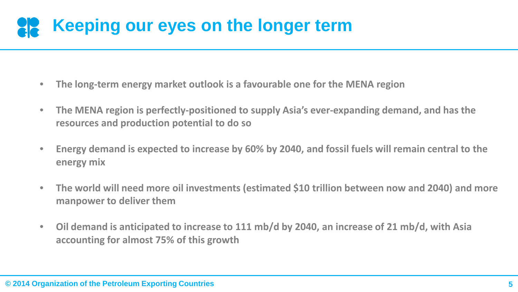### **Keeping our eyes on the longer term**

- **The long-term energy market outlook is a favourable one for the MENA region**
- **The MENA region is perfectly-positioned to supply Asia's ever-expanding demand, and has the resources and production potential to do so**
- **Energy demand is expected to increase by 60% by 2040, and fossil fuels will remain central to the energy mix**
- **The world will need more oil investments (estimated \$10 trillion between now and 2040) and more manpower to deliver them**
- **Oil demand is anticipated to increase to 111 mb/d by 2040, an increase of 21 mb/d, with Asia accounting for almost 75% of this growth**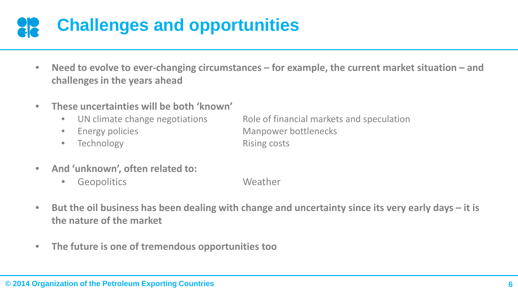# **Challenges and opportunities**

- **Need to evolve to ever-changing circumstances – for example, the current market situation – and challenges in the years ahead**
- **These uncertainties will be both 'known'** 
	-
	-
	- Technology Rising costs

• UN climate change negotiations Role of financial markets and speculation Energy policies **Energy policies** Manpower bottlenecks

- **And 'unknown', often related to:**
	- Geopolitics Weather
- **But the oil business has been dealing with change and uncertainty since its very early days – it is the nature of the market**
- **The future is one of tremendous opportunities too**